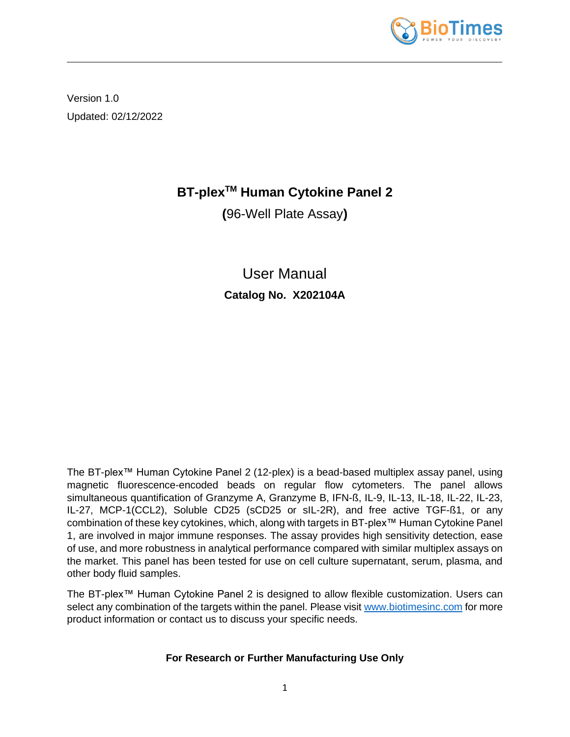

Version 1.0 Updated: 02/12/2022

# **BT-plexTM Human Cytokine Panel 2**

**(**96-Well Plate Assay**)**

User Manual **Catalog No. X202104A**

The BT-plex™ Human Cytokine Panel 2 (12-plex) is a bead-based multiplex assay panel, using magnetic fluorescence-encoded beads on regular flow cytometers. The panel allows simultaneous quantification of Granzyme A, Granzyme B, IFN-ß, IL-9, IL-13, IL-18, IL-22, IL-23, IL-27, MCP-1(CCL2), Soluble CD25 (sCD25 or sIL-2R), and free active TGF-ß1, or any combination of these key cytokines, which, along with targets in BT-plex™ Human Cytokine Panel 1, are involved in major immune responses. The assay provides high sensitivity detection, ease of use, and more robustness in analytical performance compared with similar multiplex assays on the market. This panel has been tested for use on cell culture supernatant, serum, plasma, and other body fluid samples.

The BT-plex™ Human Cytokine Panel 2 is designed to allow flexible customization. Users can select any combination of the targets within the panel. Please visit [www.biotimesinc.com](http://www.biotimesinc.com/) for more product information or contact us to discuss your specific needs.

# **For Research or Further Manufacturing Use Only**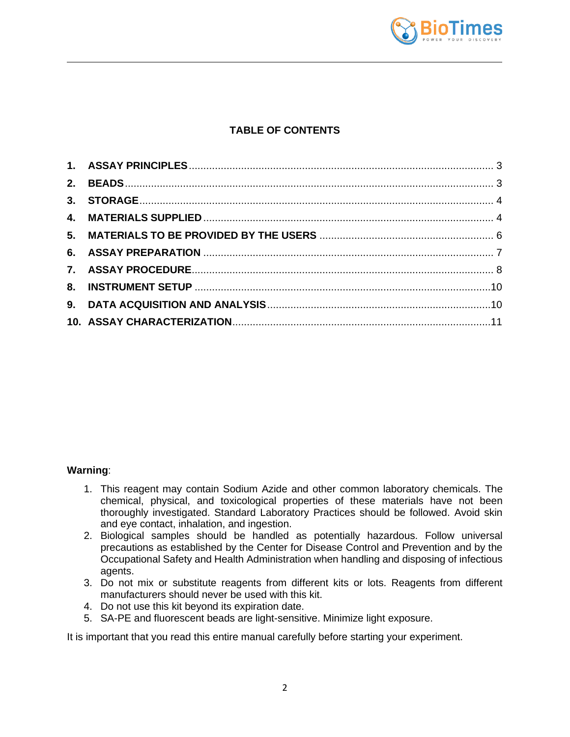

# **TABLE OF CONTENTS**

### **Warning**:

- 1. This reagent may contain Sodium Azide and other common laboratory chemicals. The chemical, physical, and toxicological properties of these materials have not been thoroughly investigated. Standard Laboratory Practices should be followed. Avoid skin and eye contact, inhalation, and ingestion.
- 2. Biological samples should be handled as potentially hazardous. Follow universal precautions as established by the Center for Disease Control and Prevention and by the Occupational Safety and Health Administration when handling and disposing of infectious agents.
- 3. Do not mix or substitute reagents from different kits or lots. Reagents from different manufacturers should never be used with this kit.
- 4. Do not use this kit beyond its expiration date.
- 5. SA-PE and fluorescent beads are light-sensitive. Minimize light exposure.

It is important that you read this entire manual carefully before starting your experiment.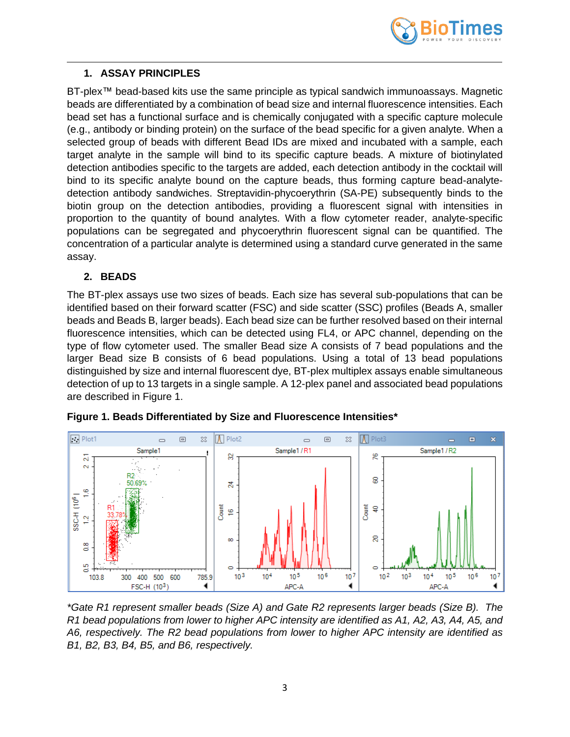

### <span id="page-2-0"></span>**1. ASSAY PRINCIPLES**

BT-plex™ bead-based kits use the same principle as typical sandwich immunoassays. Magnetic beads are differentiated by a combination of bead size and internal fluorescence intensities. Each bead set has a functional surface and is chemically conjugated with a specific capture molecule (e.g., antibody or binding protein) on the surface of the bead specific for a given analyte. When a selected group of beads with different Bead IDs are mixed and incubated with a sample, each target analyte in the sample will bind to its specific capture beads. A mixture of biotinylated detection antibodies specific to the targets are added, each detection antibody in the cocktail will bind to its specific analyte bound on the capture beads, thus forming capture bead-analytedetection antibody sandwiches. Streptavidin-phycoerythrin (SA-PE) subsequently binds to the biotin group on the detection antibodies, providing a fluorescent signal with intensities in proportion to the quantity of bound analytes. With a flow cytometer reader, analyte-specific populations can be segregated and phycoerythrin fluorescent signal can be quantified. The concentration of a particular analyte is determined using a standard curve generated in the same assay.

# <span id="page-2-1"></span>**2. BEADS**

The BT-plex assays use two sizes of beads. Each size has several sub-populations that can be identified based on their forward scatter (FSC) and side scatter (SSC) profiles (Beads A, smaller beads and Beads B, larger beads). Each bead size can be further resolved based on their internal fluorescence intensities, which can be detected using FL4, or APC channel, depending on the type of flow cytometer used. The smaller Bead size A consists of 7 bead populations and the larger Bead size B consists of 6 bead populations. Using a total of 13 bead populations distinguished by size and internal fluorescent dye, BT-plex multiplex assays enable simultaneous detection of up to 13 targets in a single sample. A 12-plex panel and associated bead populations are described in Figure 1.



**Figure 1. Beads Differentiated by Size and Fluorescence Intensities\***

*\*Gate R1 represent smaller beads (Size A) and Gate R2 represents larger beads (Size B). The R1 bead populations from lower to higher APC intensity are identified as A1, A2, A3, A4, A5, and A6, respectively. The R2 bead populations from lower to higher APC intensity are identified as B1, B2, B3, B4, B5, and B6, respectively.*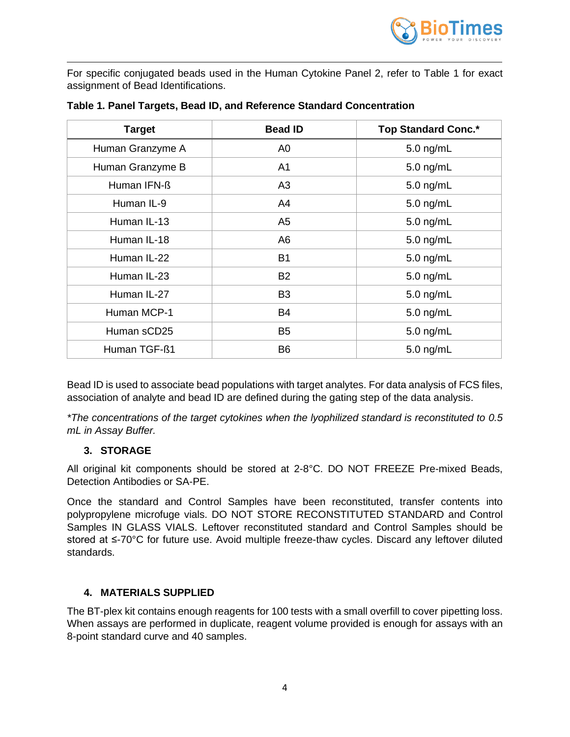

For specific conjugated beads used in the Human Cytokine Panel 2, refer to Table 1 for exact assignment of Bead Identifications.

| <b>Target</b>    | <b>Bead ID</b> | <b>Top Standard Conc.*</b> |
|------------------|----------------|----------------------------|
| Human Granzyme A | A <sub>0</sub> | $5.0$ ng/mL                |
| Human Granzyme B | A <sub>1</sub> | $5.0$ ng/mL                |
| Human IFN-ß      | A <sub>3</sub> | $5.0$ ng/mL                |
| Human IL-9       | A4             | 5.0 ng/mL                  |
| Human IL-13      | A <sub>5</sub> | $5.0$ ng/mL                |
| Human IL-18      | A <sub>6</sub> | $5.0$ ng/mL                |
| Human IL-22      | <b>B1</b>      | $5.0$ ng/mL                |
| Human IL-23      | <b>B2</b>      | $5.0$ ng/mL                |
| Human IL-27      | B <sub>3</sub> | $5.0$ ng/mL                |
| Human MCP-1      | <b>B4</b>      | $5.0$ ng/mL                |
| Human sCD25      | B <sub>5</sub> | $5.0$ ng/mL                |
| Human TGF-ß1     | B <sub>6</sub> | $5.0$ ng/mL                |

#### **Table 1. Panel Targets, Bead ID, and Reference Standard Concentration**

Bead ID is used to associate bead populations with target analytes. For data analysis of FCS files, association of analyte and bead ID are defined during the gating step of the data analysis.

*\*The concentrations of the target cytokines when the lyophilized standard is reconstituted to 0.5 mL in Assay Buffer.*

### **3. STORAGE**

<span id="page-3-0"></span>All original kit components should be stored at 2-8°C. DO NOT FREEZE Pre-mixed Beads, Detection Antibodies or SA-PE.

Once the standard and Control Samples have been reconstituted, transfer contents into polypropylene microfuge vials. DO NOT STORE RECONSTITUTED STANDARD and Control Samples IN GLASS VIALS. Leftover reconstituted standard and Control Samples should be stored at ≤-70°C for future use. Avoid multiple freeze-thaw cycles. Discard any leftover diluted standards.

### <span id="page-3-1"></span>**4. MATERIALS SUPPLIED**

The BT-plex kit contains enough reagents for 100 tests with a small overfill to cover pipetting loss. When assays are performed in duplicate, reagent volume provided is enough for assays with an 8-point standard curve and 40 samples.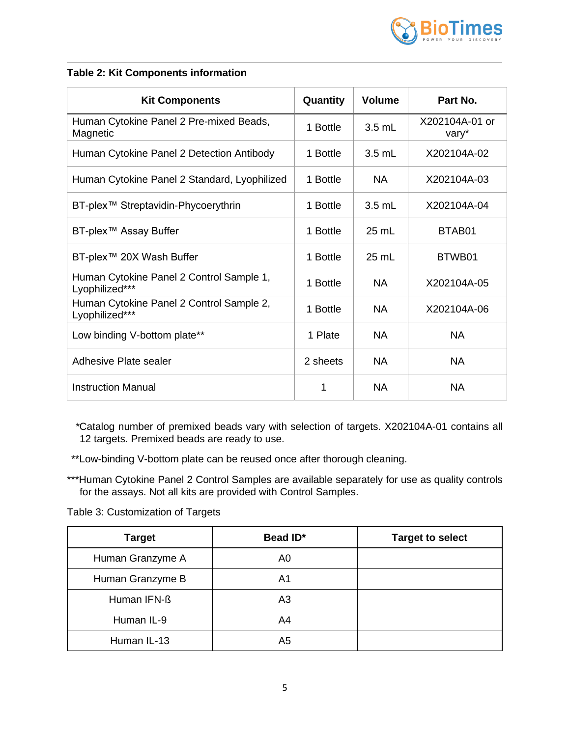

### **Table 2: Kit Components information**

| <b>Kit Components</b>                                      | Quantity | <b>Volume</b>   | Part No.                |
|------------------------------------------------------------|----------|-----------------|-------------------------|
| Human Cytokine Panel 2 Pre-mixed Beads,<br>Magnetic        | 1 Bottle | $3.5$ mL        | X202104A-01 or<br>vary* |
| Human Cytokine Panel 2 Detection Antibody                  | 1 Bottle | $3.5$ mL        | X202104A-02             |
| Human Cytokine Panel 2 Standard, Lyophilized               | 1 Bottle | NA.             | X202104A-03             |
| BT-plex <sup>™</sup> Streptavidin-Phycoerythrin            | 1 Bottle | $3.5$ mL        | X202104A-04             |
| BT-plex™ Assay Buffer                                      | 1 Bottle | 25 mL           | BTAB01                  |
| BT-plex™ 20X Wash Buffer                                   | 1 Bottle | $25 \text{ mL}$ | BTWB01                  |
| Human Cytokine Panel 2 Control Sample 1,<br>Lyophilized*** | 1 Bottle | <b>NA</b>       | X202104A-05             |
| Human Cytokine Panel 2 Control Sample 2,<br>Lyophilized*** | 1 Bottle | <b>NA</b>       | X202104A-06             |
| Low binding V-bottom plate**                               | 1 Plate  | <b>NA</b>       | <b>NA</b>               |
| Adhesive Plate sealer                                      | 2 sheets | <b>NA</b>       | <b>NA</b>               |
| <b>Instruction Manual</b>                                  | 1        | NA              | NA.                     |

*\**Catalog number of premixed beads vary with selection of targets. X202104A-01 contains all 12 targets. Premixed beads are ready to use.

\*\*Low-binding V-bottom plate can be reused once after thorough cleaning.

\*\*\*Human Cytokine Panel 2 Control Samples are available separately for use as quality controls for the assays. Not all kits are provided with Control Samples.

Table 3: Customization of Targets

| <b>Target</b>    | Bead ID*       | <b>Target to select</b> |
|------------------|----------------|-------------------------|
| Human Granzyme A | A0             |                         |
| Human Granzyme B | A1             |                         |
| Human IFN-ß      | A <sub>3</sub> |                         |
| Human IL-9       | A4             |                         |
| Human IL-13      | A5             |                         |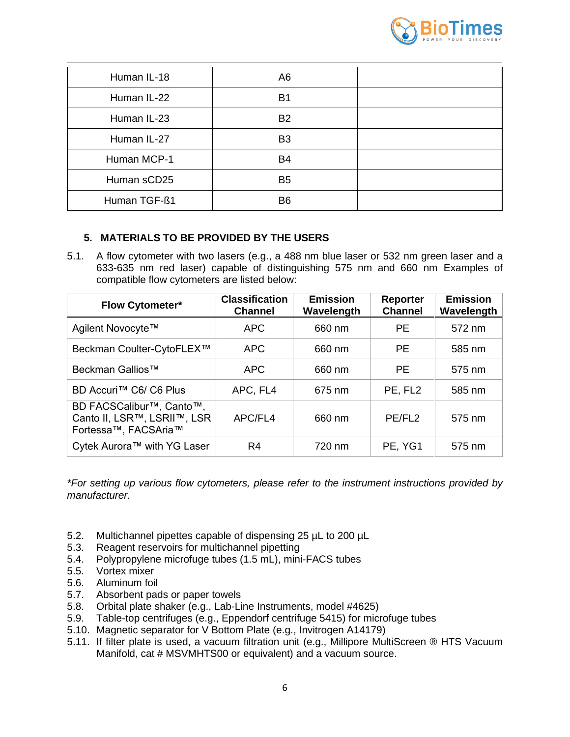

| Human IL-18  | A <sub>6</sub> |  |
|--------------|----------------|--|
| Human IL-22  | B <sub>1</sub> |  |
| Human IL-23  | <b>B2</b>      |  |
| Human IL-27  | B <sub>3</sub> |  |
| Human MCP-1  | B4             |  |
| Human sCD25  | B <sub>5</sub> |  |
| Human TGF-ß1 | B <sub>6</sub> |  |

# **5. MATERIALS TO BE PROVIDED BY THE USERS**

<span id="page-5-0"></span>5.1. A flow cytometer with two lasers (e.g., a 488 nm blue laser or 532 nm green laser and a 633-635 nm red laser) capable of distinguishing 575 nm and 660 nm Examples of compatible flow cytometers are listed below:

| <b>Flow Cytometer*</b>                                                          | <b>Classification</b><br><b>Channel</b> | <b>Emission</b><br>Wavelength | <b>Reporter</b><br><b>Channel</b> | <b>Emission</b><br>Wavelength |
|---------------------------------------------------------------------------------|-----------------------------------------|-------------------------------|-----------------------------------|-------------------------------|
| Agilent Novocyte™                                                               | <b>APC</b>                              | 660 nm                        | <b>PE</b>                         | 572 nm                        |
| Beckman Coulter-CytoFLEX™                                                       | <b>APC</b>                              | 660 nm                        | <b>PE</b>                         | 585 nm                        |
| Beckman Gallios™                                                                | <b>APC</b>                              | 660 nm                        | <b>PE</b>                         | 575 nm                        |
| BD Accuri™ C6/ C6 Plus                                                          | APC, FL4                                | 675 nm                        | PE, FL <sub>2</sub>               | 585 nm                        |
| BD FACSCalibur™, Canto™,<br>Canto II, LSR™, LSRII™, LSR<br>Fortessa™, FACSAria™ | APC/FL4                                 | 660 nm                        | PE/FL <sub>2</sub>                | 575 nm                        |
| Cytek Aurora™ with YG Laser                                                     | R4                                      | 720 nm                        | PE, YG1                           | 575 nm                        |

*\*For setting up various flow cytometers, please refer to the instrument instructions provided by manufacturer.*

- 5.2. Multichannel pipettes capable of dispensing 25 µL to 200 µL
- 5.3. Reagent reservoirs for multichannel pipetting
- 5.4. Polypropylene microfuge tubes (1.5 mL), mini-FACS tubes
- 5.5. Vortex mixer
- 5.6. Aluminum foil
- 5.7. Absorbent pads or paper towels
- 5.8. Orbital plate shaker (e.g., Lab-Line Instruments, model #4625)
- 5.9. Table-top centrifuges (e.g., Eppendorf centrifuge 5415) for microfuge tubes
- 5.10. Magnetic separator for V Bottom Plate (e.g., Invitrogen A14179)
- 5.11. If filter plate is used, a vacuum filtration unit (e.g., Millipore MultiScreen ® HTS Vacuum Manifold, cat # MSVMHTS00 or equivalent) and a vacuum source.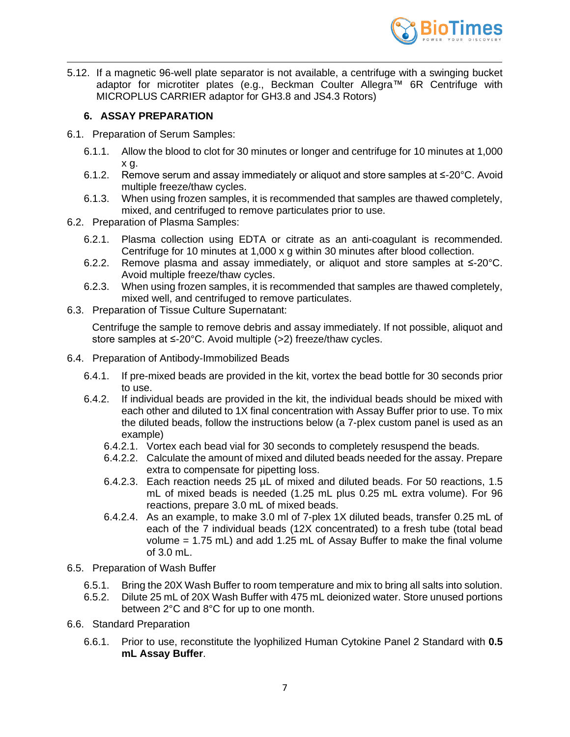

5.12. If a magnetic 96-well plate separator is not available, a centrifuge with a swinging bucket adaptor for microtiter plates (e.g., Beckman Coulter Allegra™ 6R Centrifuge with MICROPLUS CARRIER adaptor for GH3.8 and JS4.3 Rotors)

# **6. ASSAY PREPARATION**

- <span id="page-6-0"></span>6.1. Preparation of Serum Samples:
	- 6.1.1. Allow the blood to clot for 30 minutes or longer and centrifuge for 10 minutes at 1,000 x g.
	- 6.1.2. Remove serum and assay immediately or aliquot and store samples at  $\leq$ -20 $\degree$ C. Avoid multiple freeze/thaw cycles.
	- 6.1.3. When using frozen samples, it is recommended that samples are thawed completely, mixed, and centrifuged to remove particulates prior to use.
- 6.2. Preparation of Plasma Samples:
	- 6.2.1. Plasma collection using EDTA or citrate as an anti-coagulant is recommended. Centrifuge for 10 minutes at 1,000 x g within 30 minutes after blood collection.
	- 6.2.2. Remove plasma and assay immediately, or aliquot and store samples at ≤-20°C. Avoid multiple freeze/thaw cycles.
	- 6.2.3. When using frozen samples, it is recommended that samples are thawed completely, mixed well, and centrifuged to remove particulates.
- 6.3. Preparation of Tissue Culture Supernatant:

Centrifuge the sample to remove debris and assay immediately. If not possible, aliquot and store samples at ≤-20°C. Avoid multiple (>2) freeze/thaw cycles.

- 6.4. Preparation of Antibody-Immobilized Beads
	- 6.4.1. If pre-mixed beads are provided in the kit, vortex the bead bottle for 30 seconds prior to use.
	- 6.4.2. If individual beads are provided in the kit, the individual beads should be mixed with each other and diluted to 1X final concentration with Assay Buffer prior to use. To mix the diluted beads, follow the instructions below (a 7-plex custom panel is used as an example)
		- 6.4.2.1. Vortex each bead vial for 30 seconds to completely resuspend the beads.
		- 6.4.2.2. Calculate the amount of mixed and diluted beads needed for the assay. Prepare extra to compensate for pipetting loss.
		- 6.4.2.3. Each reaction needs 25 µL of mixed and diluted beads. For 50 reactions, 1.5 mL of mixed beads is needed (1.25 mL plus 0.25 mL extra volume). For 96 reactions, prepare 3.0 mL of mixed beads.
		- 6.4.2.4. As an example, to make 3.0 ml of 7-plex 1X diluted beads, transfer 0.25 mL of each of the 7 individual beads (12X concentrated) to a fresh tube (total bead volume = 1.75 mL) and add 1.25 mL of Assay Buffer to make the final volume of 3.0 mL.
- 6.5. Preparation of Wash Buffer
	- 6.5.1. Bring the 20X Wash Buffer to room temperature and mix to bring all salts into solution.
	- 6.5.2. Dilute 25 mL of 20X Wash Buffer with 475 mL deionized water. Store unused portions between 2°C and 8°C for up to one month.
- 6.6. Standard Preparation
	- 6.6.1. Prior to use, reconstitute the lyophilized Human Cytokine Panel 2 Standard with **0.5 mL Assay Buffer**.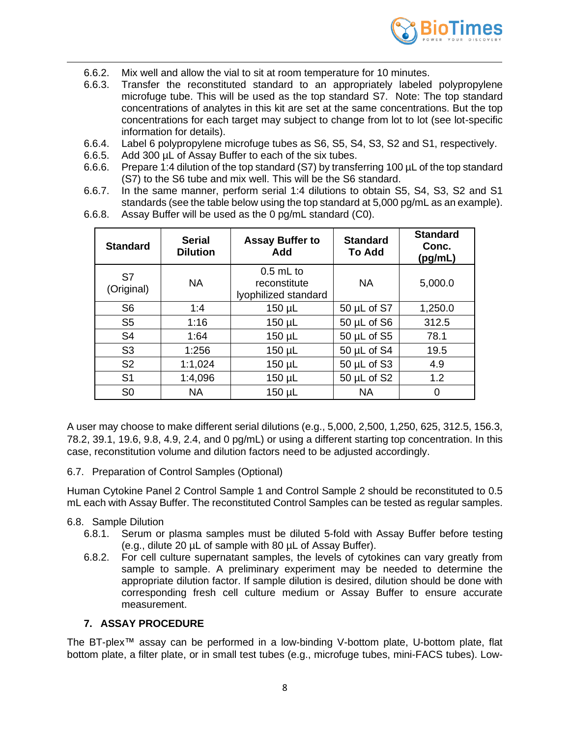

- 6.6.2. Mix well and allow the vial to sit at room temperature for 10 minutes.
- 6.6.3. Transfer the reconstituted standard to an appropriately labeled polypropylene microfuge tube. This will be used as the top standard S7. Note: The top standard concentrations of analytes in this kit are set at the same concentrations. But the top concentrations for each target may subject to change from lot to lot (see lot-specific information for details).
- 6.6.4. Label 6 polypropylene microfuge tubes as S6, S5, S4, S3, S2 and S1, respectively.
- 6.6.5. Add 300 µL of Assay Buffer to each of the six tubes.
- 6.6.6. Prepare 1:4 dilution of the top standard (S7) by transferring 100 µL of the top standard (S7) to the S6 tube and mix well. This will be the S6 standard.
- 6.6.7. In the same manner, perform serial 1:4 dilutions to obtain S5, S4, S3, S2 and S1 standards (see the table below using the top standard at 5,000 pg/mL as an example).

| <b>Standard</b>  | <b>Serial</b><br><b>Dilution</b> | <b>Assay Buffer to</b><br>Add                       | <b>Standard</b><br><b>To Add</b> | <b>Standard</b><br>Conc.<br>(pg/mL) |
|------------------|----------------------------------|-----------------------------------------------------|----------------------------------|-------------------------------------|
| S7<br>(Original) | <b>NA</b>                        | $0.5$ mL to<br>reconstitute<br>lyophilized standard | <b>NA</b>                        | 5,000.0                             |
| S <sub>6</sub>   | 1:4<br>$150 \mu L$               |                                                     | $50 \mu L$ of S7                 | 1,250.0                             |
| S <sub>5</sub>   | 1:16                             | $150 \mu L$                                         | $50 \mu L$ of S6                 | 312.5                               |
| S <sub>4</sub>   | 1:64                             | $150 \mu L$                                         | $50 \mu L$ of S5                 | 78.1                                |
| S <sub>3</sub>   | 1:256                            | $150 \mu L$                                         | $50 \mu L$ of S4                 | 19.5                                |
| S <sub>2</sub>   | 1:1,024                          | $150 \mu L$                                         | $50 \mu L$ of S3                 | 4.9                                 |
| S <sub>1</sub>   | 1:4,096                          | $150 \mu L$                                         | $50 \mu L$ of S2                 | 1.2                                 |
| S <sub>0</sub>   | <b>NA</b>                        | $150 \mu L$                                         | <b>NA</b>                        | 0                                   |

6.6.8. Assay Buffer will be used as the 0 pg/mL standard (C0).

A user may choose to make different serial dilutions (e.g., 5,000, 2,500, 1,250, 625, 312.5, 156.3, 78.2, 39.1, 19.6, 9.8, 4.9, 2.4, and 0 pg/mL) or using a different starting top concentration. In this case, reconstitution volume and dilution factors need to be adjusted accordingly.

6.7. Preparation of Control Samples (Optional)

Human Cytokine Panel 2 Control Sample 1 and Control Sample 2 should be reconstituted to 0.5 mL each with Assay Buffer. The reconstituted Control Samples can be tested as regular samples.

#### 6.8. Sample Dilution

- 6.8.1. Serum or plasma samples must be diluted 5-fold with Assay Buffer before testing (e.g., dilute 20 µL of sample with 80 µL of Assay Buffer).
- 6.8.2. For cell culture supernatant samples, the levels of cytokines can vary greatly from sample to sample. A preliminary experiment may be needed to determine the appropriate dilution factor. If sample dilution is desired, dilution should be done with corresponding fresh cell culture medium or Assay Buffer to ensure accurate measurement.

### **7. ASSAY PROCEDURE**

<span id="page-7-0"></span>The BT-plex™ assay can be performed in a low-binding V-bottom plate, U-bottom plate, flat bottom plate, a filter plate, or in small test tubes (e.g., microfuge tubes, mini-FACS tubes). Low-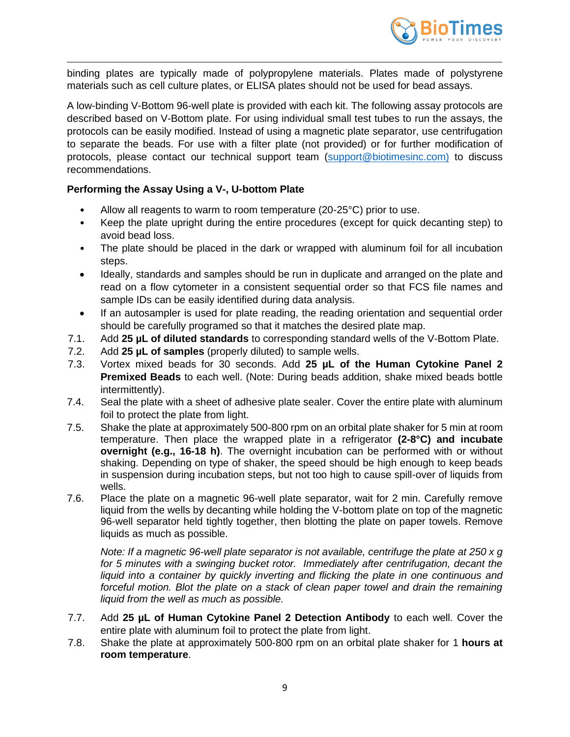

binding plates are typically made of polypropylene materials. Plates made of polystyrene materials such as cell culture plates, or ELISA plates should not be used for bead assays.

A low-binding V-Bottom 96-well plate is provided with each kit. The following assay protocols are described based on V-Bottom plate. For using individual small test tubes to run the assays, the protocols can be easily modified. Instead of using a magnetic plate separator, use centrifugation to separate the beads. For use with a filter plate (not provided) or for further modification of protocols, please contact our technical support team [\(support@biotimesinc.com\)](mailto:support@biotimesinc.com) to discuss recommendations.

# **Performing the Assay Using a V-, U-bottom Plate**

- Allow all reagents to warm to room temperature (20-25°C) prior to use.
- Keep the plate upright during the entire procedures (except for quick decanting step) to avoid bead loss.
- The plate should be placed in the dark or wrapped with aluminum foil for all incubation steps.
- Ideally, standards and samples should be run in duplicate and arranged on the plate and read on a flow cytometer in a consistent sequential order so that FCS file names and sample IDs can be easily identified during data analysis.
- If an autosampler is used for plate reading, the reading orientation and sequential order should be carefully programed so that it matches the desired plate map.
- 7.1. Add **25 µL of diluted standards** to corresponding standard wells of the V-Bottom Plate.
- 7.2. Add **25 µL of samples** (properly diluted) to sample wells.
- 7.3. Vortex mixed beads for 30 seconds. Add **25 µL of the Human Cytokine Panel 2 Premixed Beads** to each well. (Note: During beads addition, shake mixed beads bottle intermittently).
- 7.4. Seal the plate with a sheet of adhesive plate sealer. Cover the entire plate with aluminum foil to protect the plate from light.
- 7.5. Shake the plate at approximately 500-800 rpm on an orbital plate shaker for 5 min at room temperature. Then place the wrapped plate in a refrigerator **(2-8°C) and incubate overnight (e.g., 16-18 h)**. The overnight incubation can be performed with or without shaking. Depending on type of shaker, the speed should be high enough to keep beads in suspension during incubation steps, but not too high to cause spill-over of liquids from wells.
- 7.6. Place the plate on a magnetic 96-well plate separator, wait for 2 min. Carefully remove liquid from the wells by decanting while holding the V-bottom plate on top of the magnetic 96-well separator held tightly together, then blotting the plate on paper towels. Remove liquids as much as possible.

*Note: If a magnetic 96-well plate separator is not available, centrifuge the plate at 250 x g for 5 minutes with a swinging bucket rotor. Immediately after centrifugation, decant the liquid into a container by quickly inverting and flicking the plate in one continuous and forceful motion. Blot the plate on a stack of clean paper towel and drain the remaining liquid from the well as much as possible.*

- 7.7. Add **25 µL of Human Cytokine Panel 2 Detection Antibody** to each well. Cover the entire plate with aluminum foil to protect the plate from light.
- 7.8. Shake the plate at approximately 500-800 rpm on an orbital plate shaker for 1 **hours at room temperature**.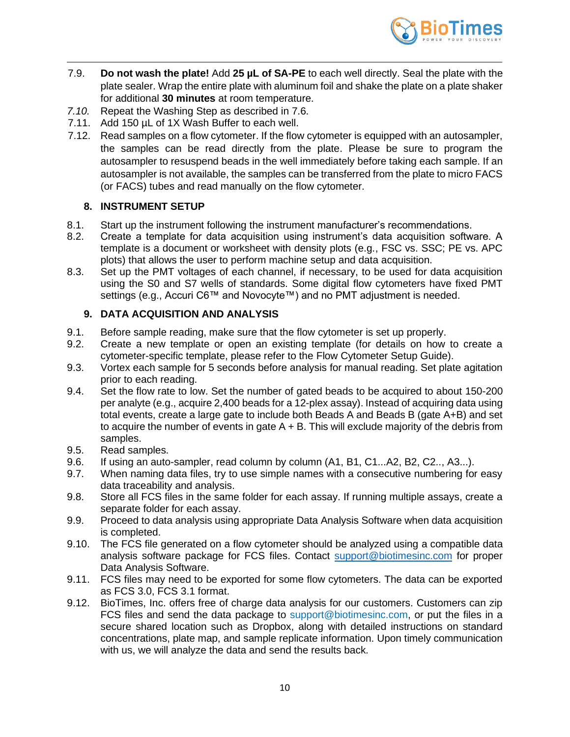

- 7.9. **Do not wash the plate!** Add **25 µL of SA-PE** to each well directly. Seal the plate with the plate sealer. Wrap the entire plate with aluminum foil and shake the plate on a plate shaker for additional **30 minutes** at room temperature.
- *7.10.* Repeat the Washing Step as described in 7.6.
- 7.11. Add 150 µL of 1X Wash Buffer to each well.
- 7.12. Read samples on a flow cytometer. If the flow cytometer is equipped with an autosampler, the samples can be read directly from the plate. Please be sure to program the autosampler to resuspend beads in the well immediately before taking each sample. If an autosampler is not available, the samples can be transferred from the plate to micro FACS (or FACS) tubes and read manually on the flow cytometer.

### **8. INSTRUMENT SETUP**

- <span id="page-9-0"></span>8.1. Start up the instrument following the instrument manufacturer's recommendations.
- 8.2. Create a template for data acquisition using instrument's data acquisition software. A template is a document or worksheet with density plots (e.g., FSC vs. SSC; PE vs. APC plots) that allows the user to perform machine setup and data acquisition.
- 8.3. Set up the PMT voltages of each channel, if necessary, to be used for data acquisition using the S0 and S7 wells of standards. Some digital flow cytometers have fixed PMT settings (e.g., Accuri C6™ and Novocyte™) and no PMT adjustment is needed.

# <span id="page-9-1"></span>**9. DATA ACQUISITION AND ANALYSIS**

- 9.1. Before sample reading, make sure that the flow cytometer is set up properly.
- 9.2. Create a new template or open an existing template (for details on how to create a cytometer-specific template, please refer to the Flow Cytometer Setup Guide).
- 9.3. Vortex each sample for 5 seconds before analysis for manual reading. Set plate agitation prior to each reading.
- 9.4. Set the flow rate to low. Set the number of gated beads to be acquired to about 150-200 per analyte (e.g., acquire 2,400 beads for a 12-plex assay). Instead of acquiring data using total events, create a large gate to include both Beads A and Beads B (gate A+B) and set to acquire the number of events in gate  $A + B$ . This will exclude majority of the debris from samples.
- 9.5. Read samples.
- 9.6. If using an auto-sampler, read column by column (A1, B1, C1...A2, B2, C2.., A3...).
- 9.7. When naming data files, try to use simple names with a consecutive numbering for easy data traceability and analysis.
- 9.8. Store all FCS files in the same folder for each assay. If running multiple assays, create a separate folder for each assay.
- 9.9. Proceed to data analysis using appropriate Data Analysis Software when data acquisition is completed.
- 9.10. The FCS file generated on a flow cytometer should be analyzed using a compatible data analysis software package for FCS files. Contact [support@biotimesinc.com](mailto:support@biotimesinc.com) for proper Data Analysis Software.
- 9.11. FCS files may need to be exported for some flow cytometers. The data can be exported as FCS 3.0, FCS 3.1 format.
- 9.12. BioTimes, Inc. offers free of charge data analysis for our customers. Customers can zip FCS files and send the data package to support@biotimesinc.com, or put the files in a secure shared location such as Dropbox, along with detailed instructions on standard concentrations, plate map, and sample replicate information. Upon timely communication with us, we will analyze the data and send the results back.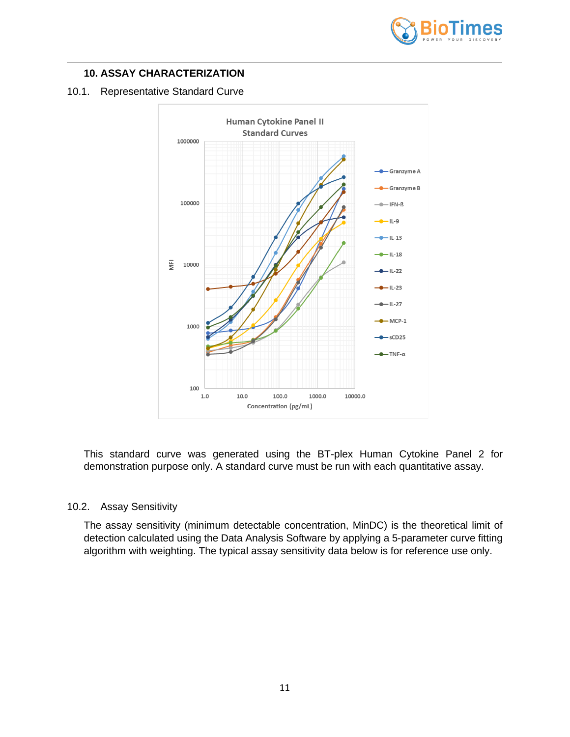

# <span id="page-10-0"></span>**10. ASSAY CHARACTERIZATION**

#### 10.1. Representative Standard Curve



This standard curve was generated using the BT-plex Human Cytokine Panel 2 for demonstration purpose only. A standard curve must be run with each quantitative assay.

#### 10.2. Assay Sensitivity

The assay sensitivity (minimum detectable concentration, MinDC) is the theoretical limit of detection calculated using the Data Analysis Software by applying a 5-parameter curve fitting algorithm with weighting. The typical assay sensitivity data below is for reference use only.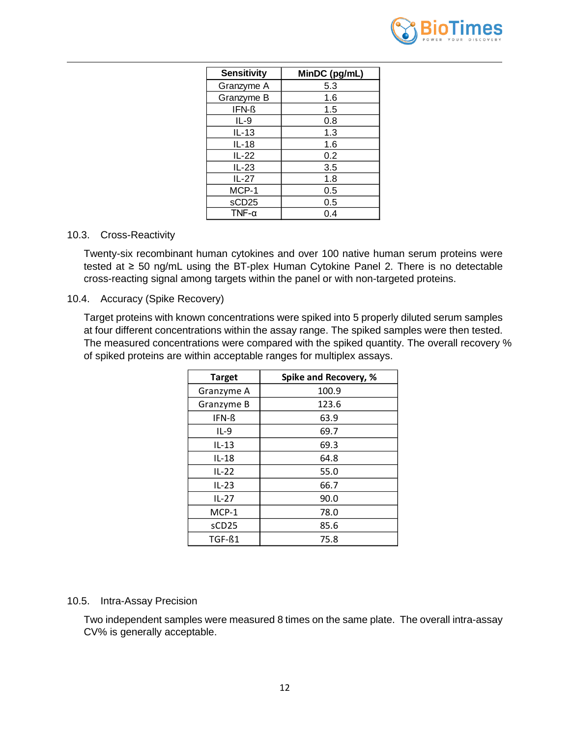

| <b>Sensitivity</b> | MinDC (pg/mL) |
|--------------------|---------------|
| Granzyme A         | 5.3           |
| Granzyme B         | 1.6           |
| IFN-ß              | 1.5           |
| IL-9               | 0.8           |
| $IL-13$            | 1.3           |
| IL-18              | 1.6           |
| IL-22              | 0.2           |
| $IL-23$            | 3.5           |
| IL-27              | 1.8           |
| MCP-1              | 0.5           |
| sCD <sub>25</sub>  | 0.5           |
| TNF- $\alpha$      | 0.4           |

#### 10.3. Cross-Reactivity

Twenty-six recombinant human cytokines and over 100 native human serum proteins were tested at ≥ 50 ng/mL using the BT-plex Human Cytokine Panel 2. There is no detectable cross-reacting signal among targets within the panel or with non-targeted proteins.

#### 10.4. Accuracy (Spike Recovery)

Target proteins with known concentrations were spiked into 5 properly diluted serum samples at four different concentrations within the assay range. The spiked samples were then tested. The measured concentrations were compared with the spiked quantity. The overall recovery % of spiked proteins are within acceptable ranges for multiplex assays.

| <b>Target</b> | Spike and Recovery, % |
|---------------|-----------------------|
| Granzyme A    | 100.9                 |
| Granzyme B    | 123.6                 |
| IFN-ß         | 63.9                  |
| $IL-9$        | 69.7                  |
| $IL-13$       | 69.3                  |
| $IL-18$       | 64.8                  |
| $IL-22$       | 55.0                  |
| $IL-23$       | 66.7                  |
| $IL-27$       | 90.0                  |
| MCP-1         | 78.0                  |
| sCD25         | 85.6                  |
| TGF-ß1        | 75.8                  |

#### 10.5. Intra-Assay Precision

Two independent samples were measured 8 times on the same plate. The overall intra-assay CV% is generally acceptable.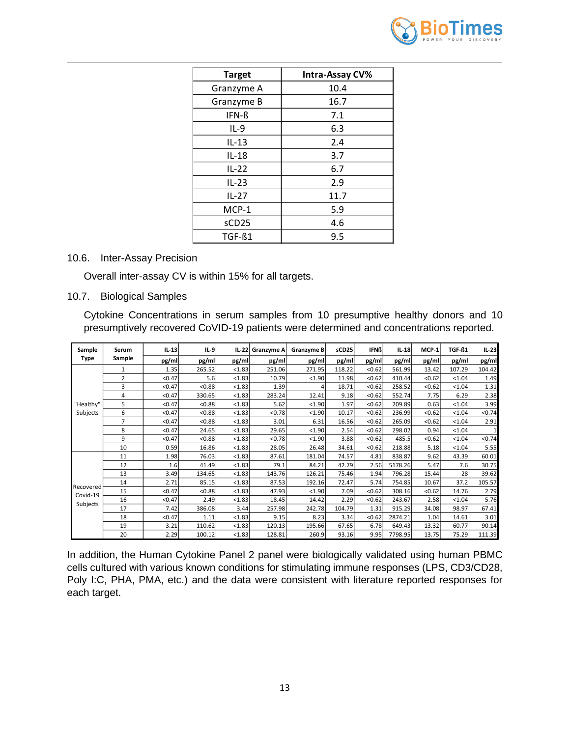

| <b>Target</b>     | Intra-Assay CV% |
|-------------------|-----------------|
| Granzyme A        | 10.4            |
| Granzyme B        | 16.7            |
| IFN-ß             | 7.1             |
| $IL-9$            | 6.3             |
| $IL-13$           | 2.4             |
| $IL-18$           | 3.7             |
| $IL-22$           | 6.7             |
| $IL-23$           | 2.9             |
| $IL-27$           | 11.7            |
| $MCP-1$           | 5.9             |
| sCD <sub>25</sub> | 4.6             |
| TGF-ß1            | 9.5             |

#### 10.6. Inter-Assay Precision

Overall inter-assay CV is within 15% for all targets.

#### 10.7. Biological Samples

Cytokine Concentrations in serum samples from 10 presumptive healthy donors and 10 presumptively recovered CoVID-19 patients were determined and concentrations reported.

| Sample                | Serum          | $IL-13$ | $IL-9$ | $IL-22$ | <b>Granzyme A</b> | Granzyme B | sCD25  | <b>IFNß</b> | $IL-18$ | MCP-1  | TGF-ß1 | $IL-23$  |
|-----------------------|----------------|---------|--------|---------|-------------------|------------|--------|-------------|---------|--------|--------|----------|
| <b>Type</b>           | Sample         | pg/ml   | pg/ml  | pg/ml   | pg/ml             | pg/ml      | pg/ml  | pg/ml       | pg/ml   | pg/ml  | pg/ml  | pg/ml    |
|                       | 1              | 1.35    | 265.52 | < 1.83  | 251.06            | 271.95     | 118.22 | < 0.62      | 561.99  | 13.42  | 107.29 | 104.42   |
|                       | $\overline{2}$ | < 0.47  | 5.6    | < 1.83  | 10.79             | < 1.90     | 11.98  | < 0.62      | 410.44  | < 0.62 | < 1.04 | 1.49     |
|                       | 3              | < 0.47  | < 0.88 | < 1.83  | 1.39              | 4          | 18.71  | < 0.62      | 258.52  | < 0.62 | < 1.04 | 1.31     |
|                       | 4              | < 0.47  | 330.65 | < 1.83  | 283.24            | 12.41      | 9.18   | < 0.62      | 552.74  | 7.75   | 6.29   | 2.38     |
| "Healthy"             | 5              | < 0.47  | < 0.88 | < 1.83  | 5.62              | < 1.90     | 1.97   | < 0.62      | 209.89  | 0.63   | < 1.04 | 3.99     |
| Subjects              | 6              | < 0.47  | < 0.88 | < 1.83  | < 0.78            | < 1.90     | 10.17  | < 0.62      | 236.99  | < 0.62 | < 1.04 | < 0.74   |
|                       | $\overline{7}$ | < 0.47  | < 0.88 | < 1.83  | 3.01              | 6.31       | 16.56  | < 0.62      | 265.09  | < 0.62 | < 1.04 | 2.91     |
|                       | 8              | < 0.47  | 24.65  | < 1.83  | 29.65             | < 1.90     | 2.54   | < 0.62      | 298.02  | 0.94   | < 1.04 | $1\vert$ |
|                       | 9              | < 0.47  | < 0.88 | < 1.83  | < 0.78            | < 1.90     | 3.88   | < 0.62      | 485.5   | < 0.62 | < 1.04 | < 0.74   |
|                       | 10             | 0.59    | 16.86  | < 1.83  | 28.05             | 26.48      | 34.61  | < 0.62      | 218.88  | 5.18   | < 1.04 | 5.55     |
|                       | 11             | 1.98    | 76.03  | < 1.83  | 87.61             | 181.04     | 74.57  | 4.81        | 838.87  | 9.62   | 43.39  | 60.01    |
|                       | 12             | 1.6     | 41.49  | < 1.83  | 79.1              | 84.21      | 42.79  | 2.56        | 5178.26 | 5.47   | 7.6    | 30.75    |
|                       | 13             | 3.49    | 134.65 | < 1.83  | 143.76            | 126.21     | 75.46  | 1.94        | 796.28  | 15.44  | 28     | 39.62    |
|                       | 14             | 2.71    | 85.15  | < 1.83  | 87.53             | 192.16     | 72.47  | 5.74        | 754.85  | 10.67  | 37.2   | 105.57   |
| Recovered<br>Covid-19 | 15             | < 0.47  | < 0.88 | < 1.83  | 47.93             | < 1.90     | 7.09   | < 0.62      | 308.16  | < 0.62 | 14.76  | 2.79     |
|                       | 16             | < 0.47  | 2.49   | < 1.83  | 18.45             | 14.42      | 2.29   | < 0.62      | 243.67  | 2.58   | < 1.04 | 5.76     |
| Subjects              | 17             | 7.42    | 386.08 | 3.44    | 257.98            | 242.78     | 104.79 | 1.31        | 915.29  | 34.08  | 98.97  | 67.41    |
|                       | 18             | < 0.47  | 1.11   | < 1.83  | 9.15              | 8.23       | 3.34   | < 0.62      | 2874.21 | 1.04   | 14.61  | 3.01     |
|                       | 19             | 3.21    | 110.62 | < 1.83  | 120.13            | 195.66     | 67.65  | 6.78        | 649.43  | 13.32  | 60.77  | 90.14    |
|                       | 20             | 2.29    | 100.12 | < 1.83  | 128.81            | 260.9      | 93.16  | 9.95        | 7798.95 | 13.75  | 75.29  | 111.39   |

In addition, the Human Cytokine Panel 2 panel were biologically validated using human PBMC cells cultured with various known conditions for stimulating immune responses (LPS, CD3/CD28, Poly I:C, PHA, PMA, etc.) and the data were consistent with literature reported responses for each target.